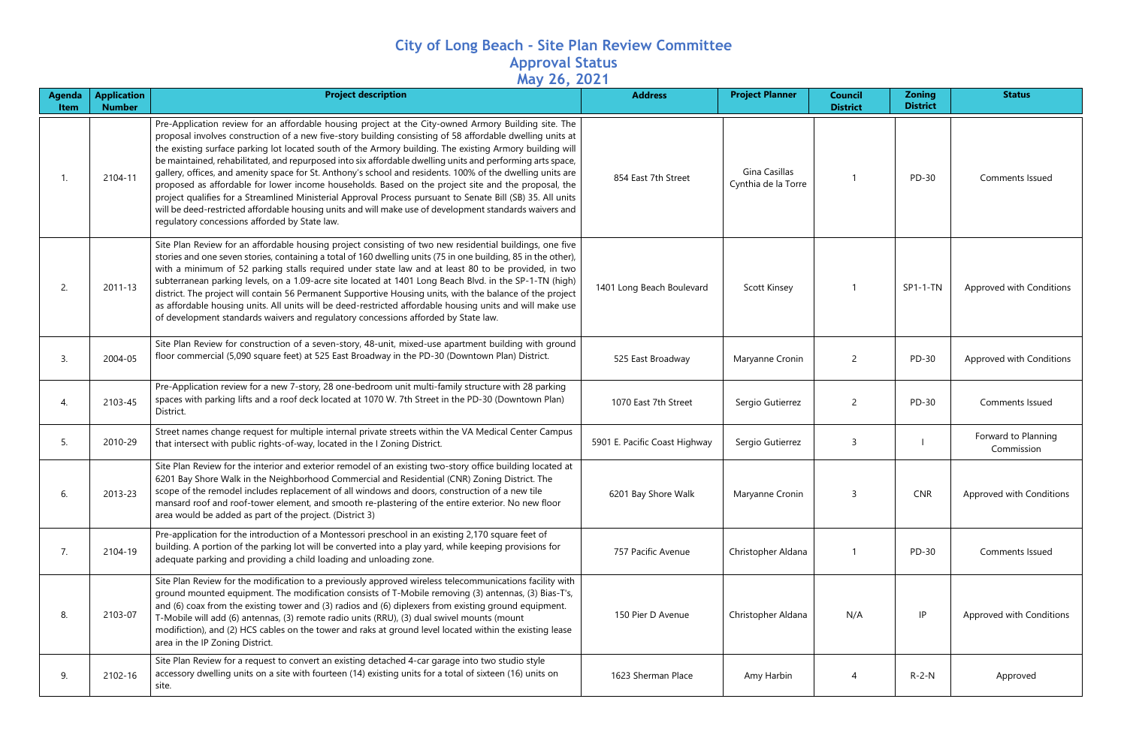## **City of Long Beach - Site Plan Review Committee Approval Status May 26, 2021**

| <b>Agenda</b><br><b>Item</b> | <b>Application</b><br><b>Number</b> | <b>Project description</b>                                                                                                                                                                                                                                                                                                                                                                                                                                                                                                                                                                                                                                                                                                                                                                                                                                                                                                                  | <b>Address</b>                | <b>Project Planner</b>               | <b>Council</b><br><b>District</b> | <b>Zoning</b><br><b>District</b> | <b>Status</b>                     |
|------------------------------|-------------------------------------|---------------------------------------------------------------------------------------------------------------------------------------------------------------------------------------------------------------------------------------------------------------------------------------------------------------------------------------------------------------------------------------------------------------------------------------------------------------------------------------------------------------------------------------------------------------------------------------------------------------------------------------------------------------------------------------------------------------------------------------------------------------------------------------------------------------------------------------------------------------------------------------------------------------------------------------------|-------------------------------|--------------------------------------|-----------------------------------|----------------------------------|-----------------------------------|
|                              | 2104-11                             | Pre-Application review for an affordable housing project at the City-owned Armory Building site. The<br>proposal involves construction of a new five-story building consisting of 58 affordable dwelling units at<br>the existing surface parking lot located south of the Armory building. The existing Armory building will<br>be maintained, rehabilitated, and repurposed into six affordable dwelling units and performing arts space,<br>gallery, offices, and amenity space for St. Anthony's school and residents. 100% of the dwelling units are<br>proposed as affordable for lower income households. Based on the project site and the proposal, the<br>project qualifies for a Streamlined Ministerial Approval Process pursuant to Senate Bill (SB) 35. All units<br>will be deed-restricted affordable housing units and will make use of development standards waivers and<br>regulatory concessions afforded by State law. | 854 East 7th Street           | Gina Casillas<br>Cynthia de la Torre |                                   | PD-30                            | Comments Issued                   |
| 2.                           | 2011-13                             | Site Plan Review for an affordable housing project consisting of two new residential buildings, one five<br>stories and one seven stories, containing a total of 160 dwelling units (75 in one building, 85 in the other),<br>with a minimum of 52 parking stalls required under state law and at least 80 to be provided, in two<br>subterranean parking levels, on a 1.09-acre site located at 1401 Long Beach Blvd. in the SP-1-TN (high)<br>district. The project will contain 56 Permanent Supportive Housing units, with the balance of the project<br>as affordable housing units. All units will be deed-restricted affordable housing units and will make use<br>of development standards waivers and regulatory concessions afforded by State law.                                                                                                                                                                                | 1401 Long Beach Boulevard     | <b>Scott Kinsey</b>                  |                                   | SP1-1-TN                         | Approved with Conditions          |
| 3.                           | 2004-05                             | Site Plan Review for construction of a seven-story, 48-unit, mixed-use apartment building with ground<br>floor commercial (5,090 square feet) at 525 East Broadway in the PD-30 (Downtown Plan) District.                                                                                                                                                                                                                                                                                                                                                                                                                                                                                                                                                                                                                                                                                                                                   | 525 East Broadway             | Maryanne Cronin                      | $\overline{2}$                    | PD-30                            | Approved with Conditions          |
| 4.                           | 2103-45                             | Pre-Application review for a new 7-story, 28 one-bedroom unit multi-family structure with 28 parking<br>spaces with parking lifts and a roof deck located at 1070 W. 7th Street in the PD-30 (Downtown Plan)<br>District.                                                                                                                                                                                                                                                                                                                                                                                                                                                                                                                                                                                                                                                                                                                   | 1070 East 7th Street          | Sergio Gutierrez                     | $\overline{c}$                    | PD-30                            | Comments Issued                   |
| 5.                           | 2010-29                             | Street names change request for multiple internal private streets within the VA Medical Center Campus<br>that intersect with public rights-of-way, located in the I Zoning District.                                                                                                                                                                                                                                                                                                                                                                                                                                                                                                                                                                                                                                                                                                                                                        | 5901 E. Pacific Coast Highway | Sergio Gutierrez                     | 3                                 |                                  | Forward to Planning<br>Commission |
|                              | 2013-23                             | Site Plan Review for the interior and exterior remodel of an existing two-story office building located at<br>6201 Bay Shore Walk in the Neighborhood Commercial and Residential (CNR) Zoning District. The<br>scope of the remodel includes replacement of all windows and doors, construction of a new tile<br>mansard roof and roof-tower element, and smooth re-plastering of the entire exterior. No new floor<br>area would be added as part of the project. (District 3)                                                                                                                                                                                                                                                                                                                                                                                                                                                             | 6201 Bay Shore Walk           | Maryanne Cronin                      |                                   | <b>CNR</b>                       | Approved with Conditions          |
| 7.                           | 2104-19                             | Pre-application for the introduction of a Montessori preschool in an existing 2,170 square feet of<br>building. A portion of the parking lot will be converted into a play yard, while keeping provisions for<br>adequate parking and providing a child loading and unloading zone.                                                                                                                                                                                                                                                                                                                                                                                                                                                                                                                                                                                                                                                         | 757 Pacific Avenue            | Christopher Aldana                   |                                   | PD-30                            | Comments Issued                   |
| 8.                           | 2103-07                             | Site Plan Review for the modification to a previously approved wireless telecommunications facility with<br>ground mounted equipment. The modification consists of T-Mobile removing (3) antennas, (3) Bias-T's,<br>and (6) coax from the existing tower and (3) radios and (6) diplexers from existing ground equipment.<br>T-Mobile will add (6) antennas, (3) remote radio units (RRU), (3) dual swivel mounts (mount<br>modifiction), and (2) HCS cables on the tower and raks at ground level located within the existing lease<br>area in the IP Zoning District.                                                                                                                                                                                                                                                                                                                                                                     | 150 Pier D Avenue             | Christopher Aldana                   | N/A                               | IP                               | Approved with Conditions          |
| 9.                           | 2102-16                             | Site Plan Review for a request to convert an existing detached 4-car garage into two studio style<br>accessory dwelling units on a site with fourteen (14) existing units for a total of sixteen (16) units on<br>site.                                                                                                                                                                                                                                                                                                                                                                                                                                                                                                                                                                                                                                                                                                                     | 1623 Sherman Place            | Amy Harbin                           | 4                                 | $R-2-N$                          | Approved                          |